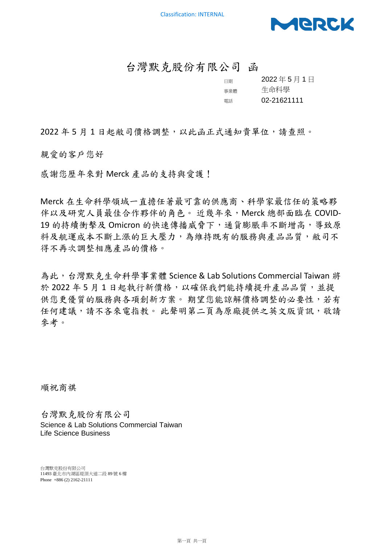

## 台灣默克股份有限公司 函

| 日期  | 2022年5月1日   |
|-----|-------------|
| 事業體 | 生命科學        |
| 雷話  | 02-21621111 |

2022年5月1日起敝司價格調整,以此函正式通知貴單位,請查照。

親愛的客戶您好

感謝您歷年來對 Merck 產品的支持與愛護!

Merck 在生命科學領域一直擔任著最可靠的供應商、科學家最信任的策略夥 伴以及研究人員最佳合作夥伴的角色。 近幾年來, Merck 總部面臨在 COVID-19 的持續衝擊及 Omicron 的快速傳播威脅下,通貨膨脹率不斷增高,導致原 料及航運成本不斷上漲的巨大壓力,為維持既有的服務與產品品質,敝司不 得不再次調整相應產品的價格。

為此,台灣默克生命科學事業體 Science & Lab Solutions Commercial Taiwan 將 於 2022年5月1日起執行新價格,以確保我們能持續提升產品品質,並提 供您更優質的服務與各項創新方案。 期望您能諒解價格調整的必要性,若有 任何建議,請不吝來電指教。 此聲明第二頁為原廠提供之英文版資訊,敬請 參考。

順祝商祺

台灣默克股份有限公司 Science & Lab Solutions Commercial Taiwan Life Science Business

台灣默克股份有限公司 11493 臺北市內湖區堤頂大道二段 89 號 6 樓 Phone +886 (2) 2162-21111